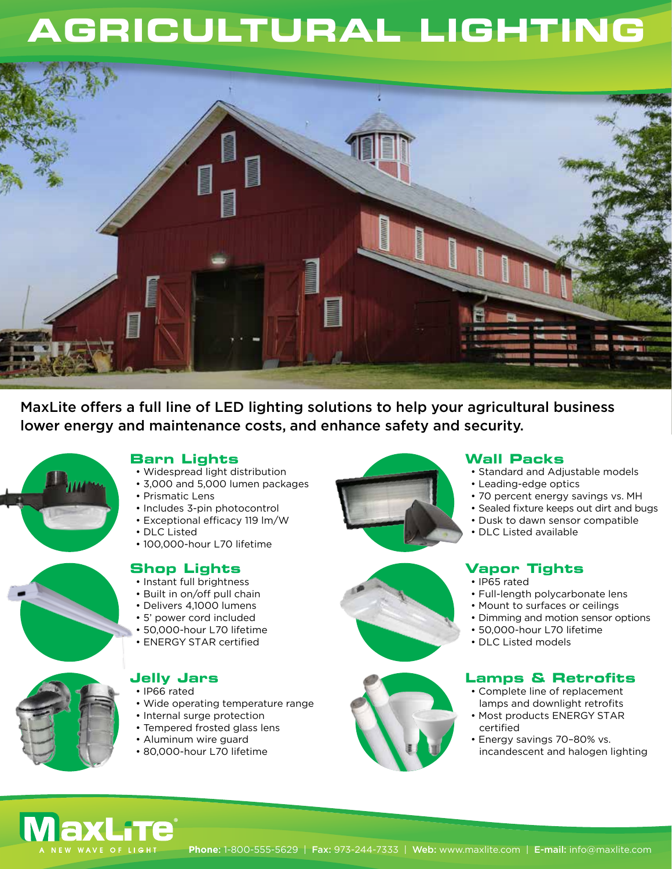# **AGRICULTURAL LIGHTING**



MaxLite offers a full line of LED lighting solutions to help your agricultural business lower energy and maintenance costs, and enhance safety and security.



# **Barn Lights**

- Widespread light distribution
- 3,000 and 5,000 lumen packages
- Prismatic Lens
- Includes 3-pin photocontrol
- Exceptional efficacy 119 lm/W
- DLC Listed
- 100,000-hour L70 lifetime



- Instant full brightness
- Built in on/off pull chain
- Delivers 4,1000 lumens
- 5' power cord included
- 50,000-hour L70 lifetime
- ENERGY STAR certified



### **Jelly Jars**

- IP66 rated
- Wide operating temperature range
- Internal surge protection
- Tempered frosted glass lens
- Aluminum wire guard
- 80,000-hour L70 lifetime







### **Wall Packs**

- Standard and Adjustable models
- Leading-edge optics
- 70 percent energy savings vs. MH
- Sealed fixture keeps out dirt and bugs
- Dusk to dawn sensor compatible
- DLC Listed available

## **Vapor Tights**

- IP65 rated
- Full-length polycarbonate lens
- Mount to surfaces or ceilings
- Dimming and motion sensor options
- 50,000-hour L70 lifetime
- DLC Listed models

## **Lamps & Retrofits**

- Complete line of replacement lamps and downlight retrofits
- Most products ENERGY STAR certified
- Energy savings 70–80% vs. incandescent and halogen lighting